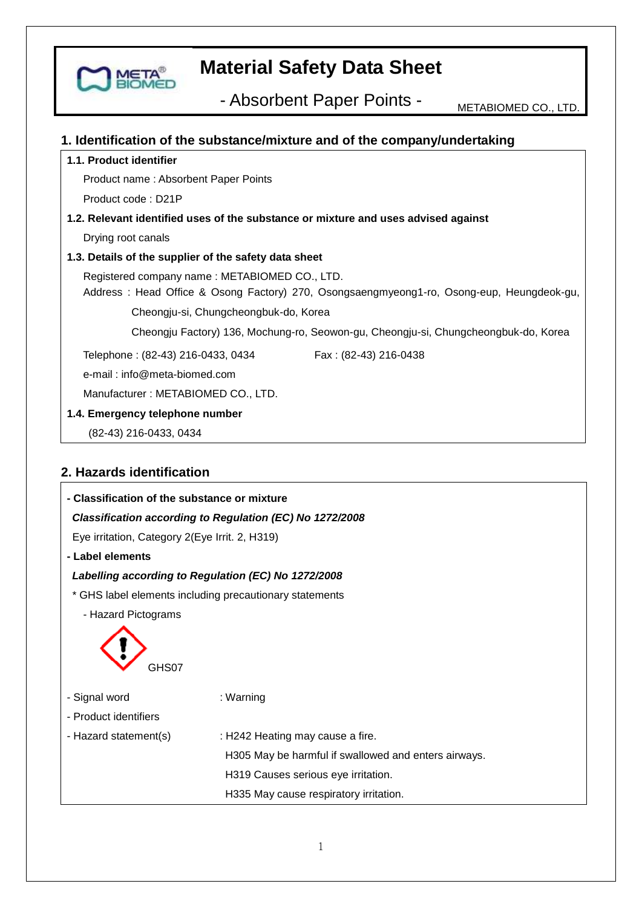

- Absorbent Paper Points - METABIOMED CO., LTD.

### **1. Identification of the substance/mixture and of the company/undertaking**

### **1.1. Product identifier**

Product name : Absorbent Paper Points

Product code : D21P

## **1.2. Relevant identified uses of the substance or mixture and uses advised against**

Drying root canals

#### **1.3. Details of the supplier of the safety data sheet**

Registered company name : METABIOMED CO., LTD.

 Address : Head Office & Osong Factory) 270, Osongsaengmyeong1-ro, Osong-eup, Heungdeok-gu, Cheongju-si, Chungcheongbuk-do, Korea

Cheongju Factory) 136, Mochung-ro, Seowon-gu, Cheongju-si, Chungcheongbuk-do, Korea

Telephone : (82-43) 216-0433, 0434 Fax : (82-43) 216-0438

e-mail : info@meta-biomed.com

Manufacturer : METABIOMED CO., LTD.

#### **1.4. Emergency telephone number**

(82-43) 216-0433, 0434

## **2. Hazards identification**

| - Classification of the substance or mixture             |                                                      |  |  |
|----------------------------------------------------------|------------------------------------------------------|--|--|
| Classification according to Regulation (EC) No 1272/2008 |                                                      |  |  |
| Eye irritation, Category 2(Eye Irrit. 2, H319)           |                                                      |  |  |
| - Label elements                                         |                                                      |  |  |
| Labelling according to Regulation (EC) No 1272/2008      |                                                      |  |  |
| * GHS label elements including precautionary statements  |                                                      |  |  |
| - Hazard Pictograms                                      |                                                      |  |  |
| GHS07                                                    |                                                      |  |  |
| - Signal word                                            | : Warning                                            |  |  |
| - Product identifiers                                    |                                                      |  |  |
| - Hazard statement(s)                                    | : H242 Heating may cause a fire.                     |  |  |
|                                                          | H305 May be harmful if swallowed and enters airways. |  |  |
|                                                          | H319 Causes serious eye irritation.                  |  |  |
|                                                          | H335 May cause respiratory irritation.               |  |  |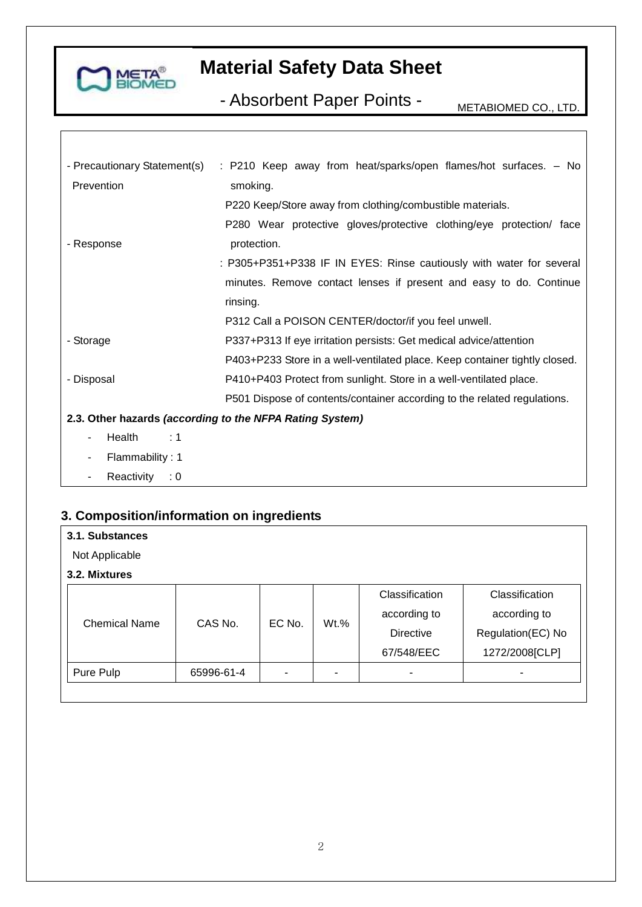

- Absorbent Paper Points - METABIOMED CO., LTD.

| - Precautionary Statement(s) | : P210 Keep away from heat/sparks/open flames/hot surfaces. - No           |
|------------------------------|----------------------------------------------------------------------------|
| Prevention                   | smoking.                                                                   |
|                              | P220 Keep/Store away from clothing/combustible materials.                  |
|                              | P280 Wear protective gloves/protective clothing/eye protection/ face       |
| - Response                   | protection.                                                                |
|                              | : P305+P351+P338 IF IN EYES: Rinse cautiously with water for several       |
|                              | minutes. Remove contact lenses if present and easy to do. Continue         |
|                              | rinsing.                                                                   |
|                              | P312 Call a POISON CENTER/doctor/if you feel unwell.                       |
| - Storage                    | P337+P313 If eye irritation persists: Get medical advice/attention         |
|                              | P403+P233 Store in a well-ventilated place. Keep container tightly closed. |
| - Disposal                   | P410+P403 Protect from sunlight. Store in a well-ventilated place.         |
|                              | P501 Dispose of contents/container according to the related regulations.   |
|                              | 2.3. Other hazards (according to the NFPA Rating System)                   |
| Health<br>:1<br>۰            |                                                                            |
| Flammability: 1              |                                                                            |

- Reactivity : 0

## **3. Composition/information on ingredients**

| 3.1. Substances      |            |        |         |                |                   |
|----------------------|------------|--------|---------|----------------|-------------------|
| Not Applicable       |            |        |         |                |                   |
| 3.2. Mixtures        |            |        |         |                |                   |
|                      |            |        |         | Classification | Classification    |
| <b>Chemical Name</b> | CAS No.    | EC No. | $Wt.$ % | according to   | according to      |
|                      |            |        |         | Directive      | Regulation(EC) No |
|                      |            |        |         | 67/548/EEC     | 1272/2008[CLP]    |
| Pure Pulp            | 65996-61-4 |        |         |                | ۰                 |
|                      |            |        |         |                |                   |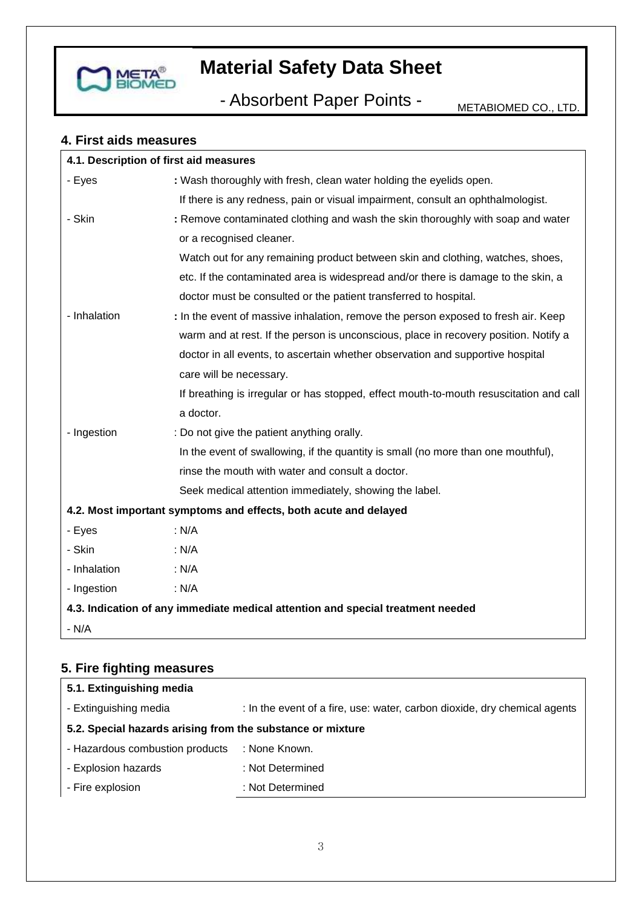

- Absorbent Paper Points - METABIOMED CO., LTD.

## **4. First aids measures**

| 4.1. Description of first aid measures |                                                                                        |
|----------------------------------------|----------------------------------------------------------------------------------------|
| - Eyes                                 | : Wash thoroughly with fresh, clean water holding the eyelids open.                    |
|                                        | If there is any redness, pain or visual impairment, consult an ophthalmologist.        |
| - Skin                                 | : Remove contaminated clothing and wash the skin thoroughly with soap and water        |
|                                        | or a recognised cleaner.                                                               |
|                                        | Watch out for any remaining product between skin and clothing, watches, shoes,         |
|                                        | etc. If the contaminated area is widespread and/or there is damage to the skin, a      |
|                                        | doctor must be consulted or the patient transferred to hospital.                       |
| - Inhalation                           | : In the event of massive inhalation, remove the person exposed to fresh air. Keep     |
|                                        | warm and at rest. If the person is unconscious, place in recovery position. Notify a   |
|                                        | doctor in all events, to ascertain whether observation and supportive hospital         |
|                                        | care will be necessary.                                                                |
|                                        | If breathing is irregular or has stopped, effect mouth-to-mouth resuscitation and call |
|                                        | a doctor.                                                                              |
| - Ingestion                            | : Do not give the patient anything orally.                                             |
|                                        | In the event of swallowing, if the quantity is small (no more than one mouthful),      |
|                                        | rinse the mouth with water and consult a doctor.                                       |
|                                        | Seek medical attention immediately, showing the label.                                 |
|                                        | 4.2. Most important symptoms and effects, both acute and delayed                       |
| - Eyes                                 | : N/A                                                                                  |
| - Skin                                 | : N/A                                                                                  |
| - Inhalation                           | : N/A                                                                                  |
| - Ingestion                            | : N/A                                                                                  |
|                                        | 4.3. Indication of any immediate medical attention and special treatment needed        |
| $- N/A$                                |                                                                                        |

## **5. Fire fighting measures**

| 5.1. Extinguishing media                                   |                                                                           |  |  |
|------------------------------------------------------------|---------------------------------------------------------------------------|--|--|
| - Extinguishing media                                      | : In the event of a fire, use: water, carbon dioxide, dry chemical agents |  |  |
| 5.2. Special hazards arising from the substance or mixture |                                                                           |  |  |
| - Hazardous combustion products                            | : None Known.                                                             |  |  |
| - Explosion hazards                                        | : Not Determined                                                          |  |  |
| - Fire explosion                                           | : Not Determined                                                          |  |  |
|                                                            |                                                                           |  |  |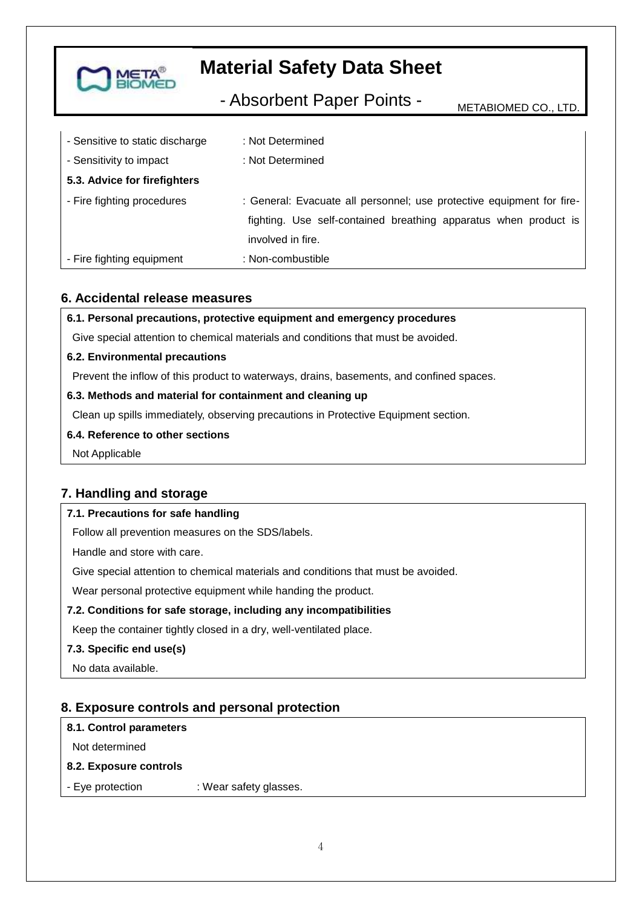

- Absorbent Paper Points - METABIOMED CO., LTD.

| - Sensitive to static discharge | : Not Determined                                                      |
|---------------------------------|-----------------------------------------------------------------------|
| - Sensitivity to impact         | : Not Determined                                                      |
| 5.3. Advice for firefighters    |                                                                       |
| - Fire fighting procedures      | : General: Evacuate all personnel; use protective equipment for fire- |
|                                 | fighting. Use self-contained breathing apparatus when product is      |
|                                 | involved in fire.                                                     |
| - Fire fighting equipment       | : Non-combustible                                                     |

### **6. Accidental release measures**

**6.1. Personal precautions, protective equipment and emergency procedures**

Give special attention to chemical materials and conditions that must be avoided.

#### **6.2. Environmental precautions**

Prevent the inflow of this product to waterways, drains, basements, and confined spaces.

#### **6.3. Methods and material for containment and cleaning up**

Clean up spills immediately, observing precautions in Protective Equipment section.

#### **6.4. Reference to other sections**

Not Applicable

## **7. Handling and storage**

### **7.1. Precautions for safe handling**

Follow all prevention measures on the SDS/labels.

Handle and store with care.

Give special attention to chemical materials and conditions that must be avoided.

Wear personal protective equipment while handing the product.

### **7.2. Conditions for safe storage, including any incompatibilities**

Keep the container tightly closed in a dry, well-ventilated place.

#### **7.3. Specific end use(s)**

No data available.

## **8. Exposure controls and personal protection**

#### **8.1. Control parameters**

Not determined

#### **8.2. Exposure controls**

- Eye protection : Wear safety glasses.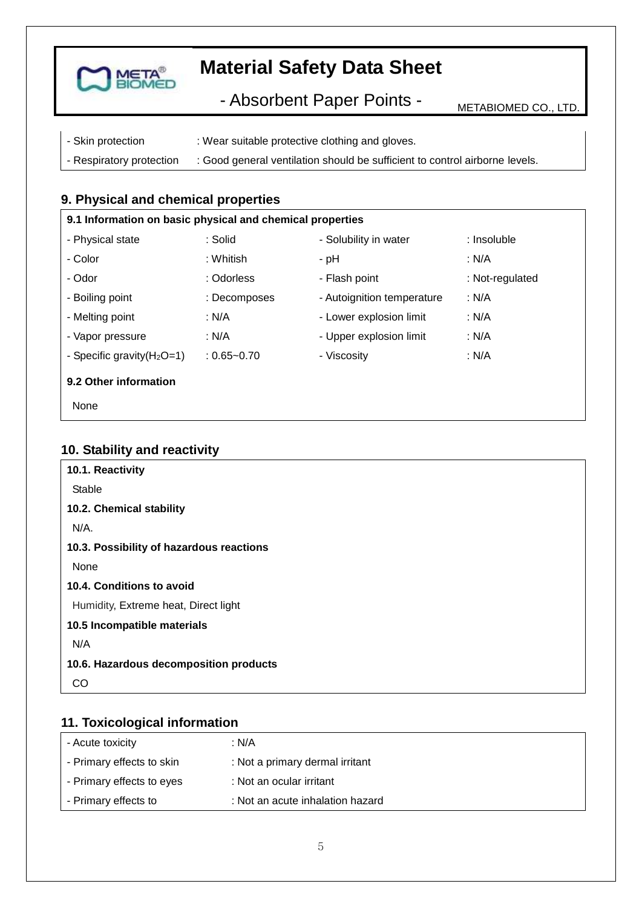

- Absorbent Paper Points - METABIOMED CO., LTD.

| - Skin protection        | : Wear suitable protective clothing and gloves.                             |
|--------------------------|-----------------------------------------------------------------------------|
| - Respiratory protection | : Good general ventilation should be sufficient to control airborne levels. |

## **9. Physical and chemical properties**

| 9.1 Information on basic physical and chemical properties |                 |                            |                 |
|-----------------------------------------------------------|-----------------|----------------------------|-----------------|
| - Physical state                                          | : Solid         | - Solubility in water      | : Insoluble     |
| - Color                                                   | : Whitish       | - pH                       | : N/A           |
| - Odor                                                    | : Odorless      | - Flash point              | : Not-regulated |
| - Boiling point                                           | : Decomposes    | - Autoignition temperature | : N/A           |
| - Melting point                                           | : N/A           | - Lower explosion limit    | : N/A           |
| - Vapor pressure                                          | : N/A           | - Upper explosion limit    | : N/A           |
| - Specific gravity $(H_2O=1)$                             | $: 0.65 - 0.70$ | - Viscosity                | : N/A           |
| 9.2 Other information                                     |                 |                            |                 |
| None                                                      |                 |                            |                 |

### **10. Stability and reactivity**

| 10.1. Reactivity                         |  |
|------------------------------------------|--|
| Stable                                   |  |
| 10.2. Chemical stability                 |  |
| N/A.                                     |  |
| 10.3. Possibility of hazardous reactions |  |
| None                                     |  |
| 10.4. Conditions to avoid                |  |
| Humidity, Extreme heat, Direct light     |  |
| 10.5 Incompatible materials              |  |
| N/A                                      |  |
| 10.6. Hazardous decomposition products   |  |
| CO                                       |  |

## **11. Toxicological information**

| - Acute toxicity          | : N/A                            |
|---------------------------|----------------------------------|
| - Primary effects to skin | : Not a primary dermal irritant  |
| - Primary effects to eyes | : Not an ocular irritant         |
| - Primary effects to      | : Not an acute inhalation hazard |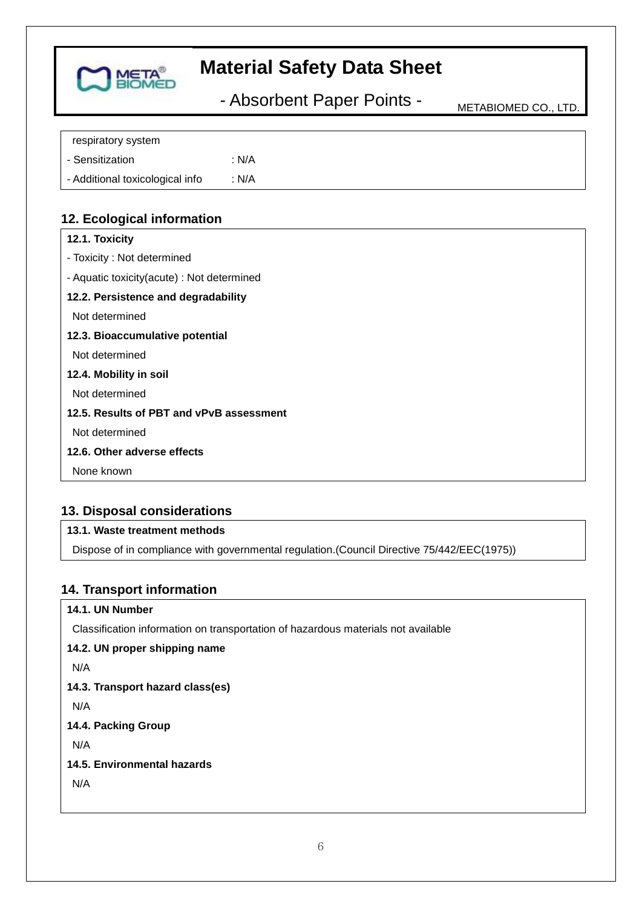

- Absorbent Paper Points - METABIOMED CO., LTD.

| respiratory system              |       |
|---------------------------------|-------|
| - Sensitization                 | : N/A |
| - Additional toxicological info | : N/A |

## **12. Ecological information**

## **13. Disposal considerations**

### **13.1. Waste treatment methods**

Dispose of in compliance with governmental regulation.(Council Directive 75/442/EEC(1975))

### **14. Transport information**

#### **14.1. UN Number**

Classification information on transportation of hazardous materials not available

**14.2. UN proper shipping name**  N/A **14.3. Transport hazard class(es)**  N/A **14.4. Packing Group** N/A **14.5. Environmental hazards** N/A